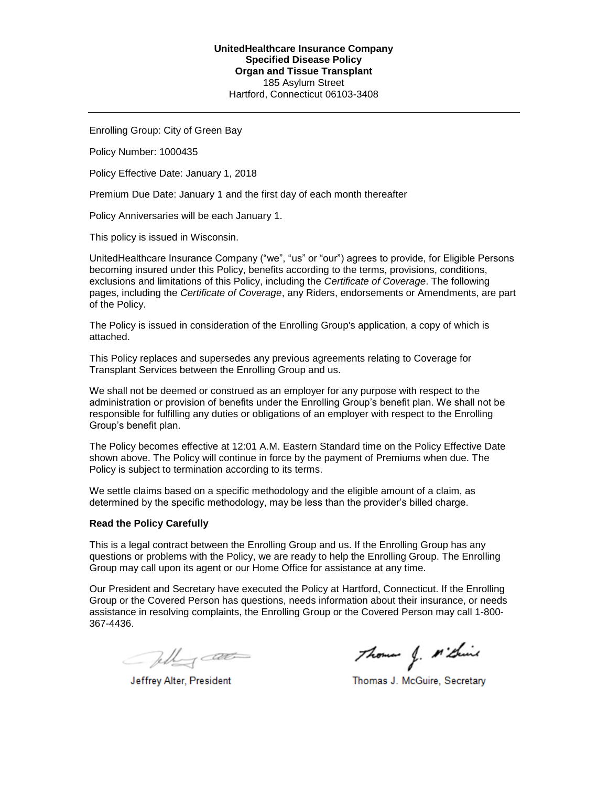Enrolling Group: City of Green Bay

Policy Number: 1000435

Policy Effective Date: January 1, 2018

Premium Due Date: January 1 and the first day of each month thereafter

Policy Anniversaries will be each January 1.

This policy is issued in Wisconsin.

UnitedHealthcare Insurance Company ("we", "us" or "our") agrees to provide, for Eligible Persons becoming insured under this Policy, benefits according to the terms, provisions, conditions, exclusions and limitations of this Policy, including the *Certificate of Coverage*. The following pages, including the *Certificate of Coverage*, any Riders, endorsements or Amendments, are part of the Policy.

The Policy is issued in consideration of the Enrolling Group's application, a copy of which is attached.

This Policy replaces and supersedes any previous agreements relating to Coverage for Transplant Services between the Enrolling Group and us.

We shall not be deemed or construed as an employer for any purpose with respect to the administration or provision of benefits under the Enrolling Group's benefit plan. We shall not be responsible for fulfilling any duties or obligations of an employer with respect to the Enrolling Group's benefit plan.

The Policy becomes effective at 12:01 A.M. Eastern Standard time on the Policy Effective Date shown above. The Policy will continue in force by the payment of Premiums when due. The Policy is subject to termination according to its terms.

We settle claims based on a specific methodology and the eligible amount of a claim, as determined by the specific methodology, may be less than the provider's billed charge.

### **Read the Policy Carefully**

This is a legal contract between the Enrolling Group and us. If the Enrolling Group has any questions or problems with the Policy, we are ready to help the Enrolling Group. The Enrolling Group may call upon its agent or our Home Office for assistance at any time.

Our President and Secretary have executed the Policy at Hartford, Connecticut. If the Enrolling Group or the Covered Person has questions, needs information about their insurance, or needs assistance in resolving complaints, the Enrolling Group or the Covered Person may call 1-800- 367-4436.

Telly cat

Jeffrey Alter, President

Thomas J. M'think

Thomas J. McGuire, Secretary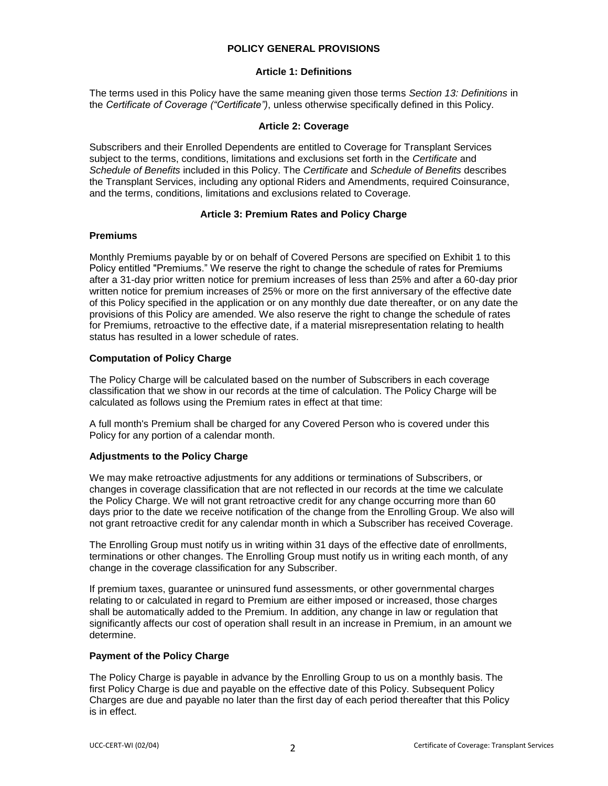## **POLICY GENERAL PROVISIONS**

## **Article 1: Definitions**

The terms used in this Policy have the same meaning given those terms *Section 13: Definitions* in the *Certificate of Coverage ("Certificate")*, unless otherwise specifically defined in this Policy.

## **Article 2: Coverage**

Subscribers and their Enrolled Dependents are entitled to Coverage for Transplant Services subject to the terms, conditions, limitations and exclusions set forth in the *Certificate* and *Schedule of Benefits* included in this Policy. The *Certificate* and *Schedule of Benefits* describes the Transplant Services, including any optional Riders and Amendments, required Coinsurance, and the terms, conditions, limitations and exclusions related to Coverage.

## **Article 3: Premium Rates and Policy Charge**

## **Premiums**

Monthly Premiums payable by or on behalf of Covered Persons are specified on Exhibit 1 to this Policy entitled "Premiums." We reserve the right to change the schedule of rates for Premiums after a 31-day prior written notice for premium increases of less than 25% and after a 60-day prior written notice for premium increases of 25% or more on the first anniversary of the effective date of this Policy specified in the application or on any monthly due date thereafter, or on any date the provisions of this Policy are amended. We also reserve the right to change the schedule of rates for Premiums, retroactive to the effective date, if a material misrepresentation relating to health status has resulted in a lower schedule of rates.

## **Computation of Policy Charge**

The Policy Charge will be calculated based on the number of Subscribers in each coverage classification that we show in our records at the time of calculation. The Policy Charge will be calculated as follows using the Premium rates in effect at that time:

A full month's Premium shall be charged for any Covered Person who is covered under this Policy for any portion of a calendar month.

# **Adjustments to the Policy Charge**

We may make retroactive adjustments for any additions or terminations of Subscribers, or changes in coverage classification that are not reflected in our records at the time we calculate the Policy Charge. We will not grant retroactive credit for any change occurring more than 60 days prior to the date we receive notification of the change from the Enrolling Group. We also will not grant retroactive credit for any calendar month in which a Subscriber has received Coverage.

The Enrolling Group must notify us in writing within 31 days of the effective date of enrollments, terminations or other changes. The Enrolling Group must notify us in writing each month, of any change in the coverage classification for any Subscriber.

If premium taxes, guarantee or uninsured fund assessments, or other governmental charges relating to or calculated in regard to Premium are either imposed or increased, those charges shall be automatically added to the Premium. In addition, any change in law or regulation that significantly affects our cost of operation shall result in an increase in Premium, in an amount we determine.

## **Payment of the Policy Charge**

The Policy Charge is payable in advance by the Enrolling Group to us on a monthly basis. The first Policy Charge is due and payable on the effective date of this Policy. Subsequent Policy Charges are due and payable no later than the first day of each period thereafter that this Policy is in effect.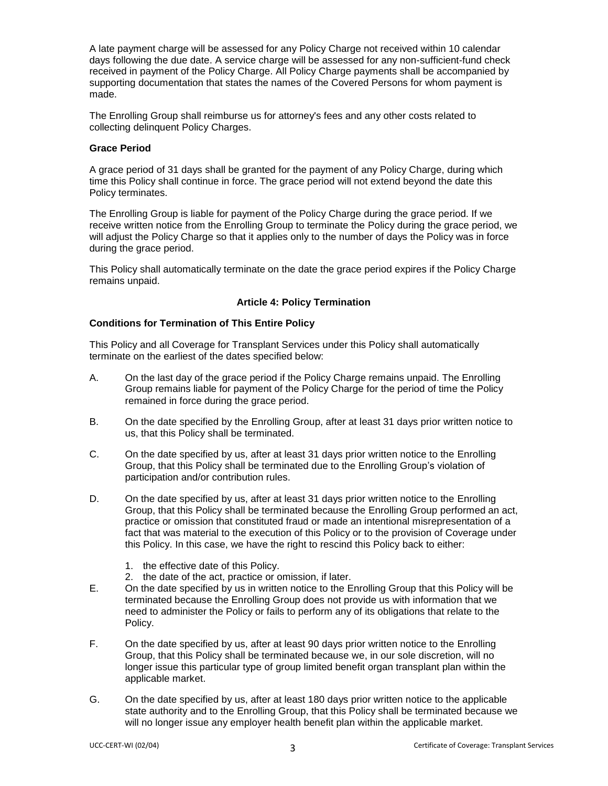A late payment charge will be assessed for any Policy Charge not received within 10 calendar days following the due date. A service charge will be assessed for any non-sufficient-fund check received in payment of the Policy Charge. All Policy Charge payments shall be accompanied by supporting documentation that states the names of the Covered Persons for whom payment is made.

The Enrolling Group shall reimburse us for attorney's fees and any other costs related to collecting delinquent Policy Charges.

### **Grace Period**

A grace period of 31 days shall be granted for the payment of any Policy Charge, during which time this Policy shall continue in force. The grace period will not extend beyond the date this Policy terminates.

The Enrolling Group is liable for payment of the Policy Charge during the grace period. If we receive written notice from the Enrolling Group to terminate the Policy during the grace period, we will adjust the Policy Charge so that it applies only to the number of days the Policy was in force during the grace period.

This Policy shall automatically terminate on the date the grace period expires if the Policy Charge remains unpaid.

## **Article 4: Policy Termination**

## **Conditions for Termination of This Entire Policy**

This Policy and all Coverage for Transplant Services under this Policy shall automatically terminate on the earliest of the dates specified below:

- A. On the last day of the grace period if the Policy Charge remains unpaid. The Enrolling Group remains liable for payment of the Policy Charge for the period of time the Policy remained in force during the grace period.
- B. On the date specified by the Enrolling Group, after at least 31 days prior written notice to us, that this Policy shall be terminated.
- C. On the date specified by us, after at least 31 days prior written notice to the Enrolling Group, that this Policy shall be terminated due to the Enrolling Group's violation of participation and/or contribution rules.
- D. On the date specified by us, after at least 31 days prior written notice to the Enrolling Group, that this Policy shall be terminated because the Enrolling Group performed an act, practice or omission that constituted fraud or made an intentional misrepresentation of a fact that was material to the execution of this Policy or to the provision of Coverage under this Policy. In this case, we have the right to rescind this Policy back to either:
	- 1. the effective date of this Policy.
	- 2. the date of the act, practice or omission, if later.
- E. On the date specified by us in written notice to the Enrolling Group that this Policy will be terminated because the Enrolling Group does not provide us with information that we need to administer the Policy or fails to perform any of its obligations that relate to the Policy.
- F. On the date specified by us, after at least 90 days prior written notice to the Enrolling Group, that this Policy shall be terminated because we, in our sole discretion, will no longer issue this particular type of group limited benefit organ transplant plan within the applicable market.
- G. On the date specified by us, after at least 180 days prior written notice to the applicable state authority and to the Enrolling Group, that this Policy shall be terminated because we will no longer issue any employer health benefit plan within the applicable market.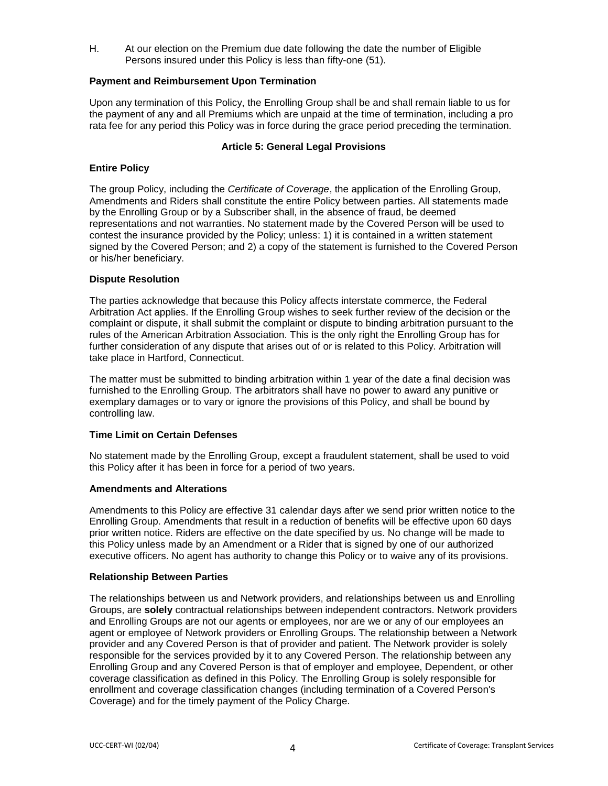H. At our election on the Premium due date following the date the number of Eligible Persons insured under this Policy is less than fifty-one (51).

## **Payment and Reimbursement Upon Termination**

Upon any termination of this Policy, the Enrolling Group shall be and shall remain liable to us for the payment of any and all Premiums which are unpaid at the time of termination, including a pro rata fee for any period this Policy was in force during the grace period preceding the termination.

### **Article 5: General Legal Provisions**

#### **Entire Policy**

The group Policy, including the *Certificate of Coverage*, the application of the Enrolling Group, Amendments and Riders shall constitute the entire Policy between parties. All statements made by the Enrolling Group or by a Subscriber shall, in the absence of fraud, be deemed representations and not warranties. No statement made by the Covered Person will be used to contest the insurance provided by the Policy; unless: 1) it is contained in a written statement signed by the Covered Person; and 2) a copy of the statement is furnished to the Covered Person or his/her beneficiary.

#### **Dispute Resolution**

The parties acknowledge that because this Policy affects interstate commerce, the Federal Arbitration Act applies. If the Enrolling Group wishes to seek further review of the decision or the complaint or dispute, it shall submit the complaint or dispute to binding arbitration pursuant to the rules of the American Arbitration Association. This is the only right the Enrolling Group has for further consideration of any dispute that arises out of or is related to this Policy. Arbitration will take place in Hartford, Connecticut.

The matter must be submitted to binding arbitration within 1 year of the date a final decision was furnished to the Enrolling Group. The arbitrators shall have no power to award any punitive or exemplary damages or to vary or ignore the provisions of this Policy, and shall be bound by controlling law.

## **Time Limit on Certain Defenses**

No statement made by the Enrolling Group, except a fraudulent statement, shall be used to void this Policy after it has been in force for a period of two years.

#### **Amendments and Alterations**

Amendments to this Policy are effective 31 calendar days after we send prior written notice to the Enrolling Group. Amendments that result in a reduction of benefits will be effective upon 60 days prior written notice. Riders are effective on the date specified by us. No change will be made to this Policy unless made by an Amendment or a Rider that is signed by one of our authorized executive officers. No agent has authority to change this Policy or to waive any of its provisions.

#### **Relationship Between Parties**

The relationships between us and Network providers, and relationships between us and Enrolling Groups, are **solely** contractual relationships between independent contractors. Network providers and Enrolling Groups are not our agents or employees, nor are we or any of our employees an agent or employee of Network providers or Enrolling Groups. The relationship between a Network provider and any Covered Person is that of provider and patient. The Network provider is solely responsible for the services provided by it to any Covered Person. The relationship between any Enrolling Group and any Covered Person is that of employer and employee, Dependent, or other coverage classification as defined in this Policy. The Enrolling Group is solely responsible for enrollment and coverage classification changes (including termination of a Covered Person's Coverage) and for the timely payment of the Policy Charge.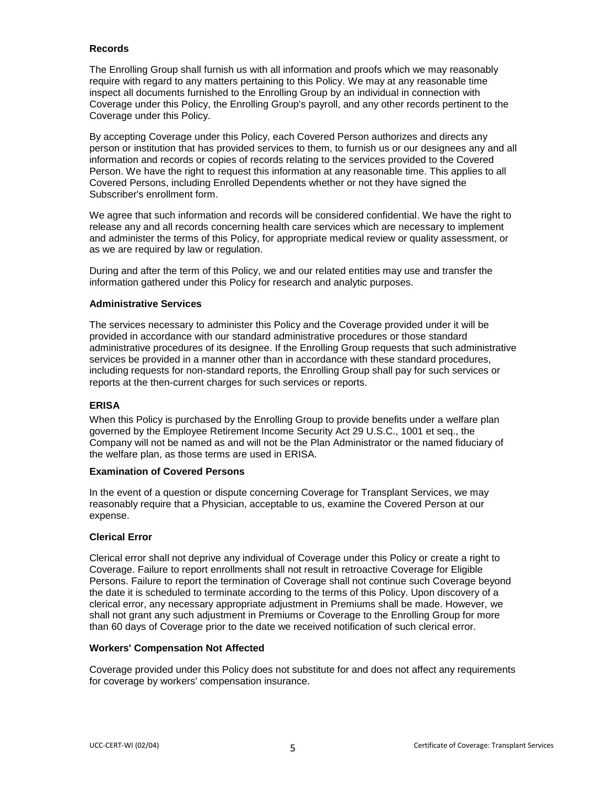## **Records**

The Enrolling Group shall furnish us with all information and proofs which we may reasonably require with regard to any matters pertaining to this Policy. We may at any reasonable time inspect all documents furnished to the Enrolling Group by an individual in connection with Coverage under this Policy, the Enrolling Group's payroll, and any other records pertinent to the Coverage under this Policy.

By accepting Coverage under this Policy, each Covered Person authorizes and directs any person or institution that has provided services to them, to furnish us or our designees any and all information and records or copies of records relating to the services provided to the Covered Person. We have the right to request this information at any reasonable time. This applies to all Covered Persons, including Enrolled Dependents whether or not they have signed the Subscriber's enrollment form.

We agree that such information and records will be considered confidential. We have the right to release any and all records concerning health care services which are necessary to implement and administer the terms of this Policy, for appropriate medical review or quality assessment, or as we are required by law or regulation.

During and after the term of this Policy, we and our related entities may use and transfer the information gathered under this Policy for research and analytic purposes.

### **Administrative Services**

The services necessary to administer this Policy and the Coverage provided under it will be provided in accordance with our standard administrative procedures or those standard administrative procedures of its designee. If the Enrolling Group requests that such administrative services be provided in a manner other than in accordance with these standard procedures, including requests for non-standard reports, the Enrolling Group shall pay for such services or reports at the then-current charges for such services or reports.

### **ERISA**

When this Policy is purchased by the Enrolling Group to provide benefits under a welfare plan governed by the Employee Retirement Income Security Act 29 U.S.C., 1001 et seq., the Company will not be named as and will not be the Plan Administrator or the named fiduciary of the welfare plan, as those terms are used in ERISA.

#### **Examination of Covered Persons**

In the event of a question or dispute concerning Coverage for Transplant Services, we may reasonably require that a Physician, acceptable to us, examine the Covered Person at our expense.

## **Clerical Error**

Clerical error shall not deprive any individual of Coverage under this Policy or create a right to Coverage. Failure to report enrollments shall not result in retroactive Coverage for Eligible Persons. Failure to report the termination of Coverage shall not continue such Coverage beyond the date it is scheduled to terminate according to the terms of this Policy. Upon discovery of a clerical error, any necessary appropriate adjustment in Premiums shall be made. However, we shall not grant any such adjustment in Premiums or Coverage to the Enrolling Group for more than 60 days of Coverage prior to the date we received notification of such clerical error.

#### **Workers' Compensation Not Affected**

Coverage provided under this Policy does not substitute for and does not affect any requirements for coverage by workers' compensation insurance.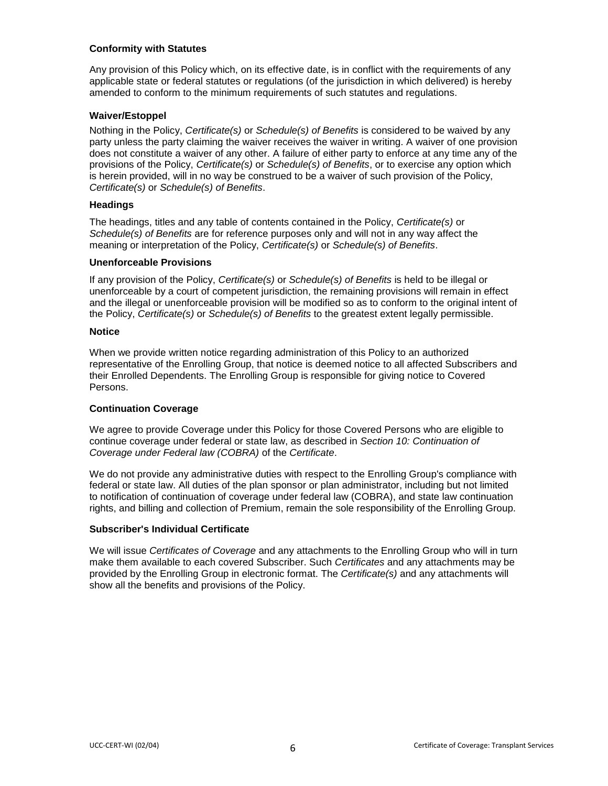## **Conformity with Statutes**

Any provision of this Policy which, on its effective date, is in conflict with the requirements of any applicable state or federal statutes or regulations (of the jurisdiction in which delivered) is hereby amended to conform to the minimum requirements of such statutes and regulations.

## **Waiver/Estoppel**

Nothing in the Policy, *Certificate(s)* or *Schedule(s) of Benefits* is considered to be waived by any party unless the party claiming the waiver receives the waiver in writing. A waiver of one provision does not constitute a waiver of any other. A failure of either party to enforce at any time any of the provisions of the Policy, *Certificate(s)* or *Schedule(s) of Benefits*, or to exercise any option which is herein provided, will in no way be construed to be a waiver of such provision of the Policy, *Certificate(s)* or *Schedule(s) of Benefits*.

### **Headings**

The headings, titles and any table of contents contained in the Policy, *Certificate(s)* or *Schedule(s) of Benefits* are for reference purposes only and will not in any way affect the meaning or interpretation of the Policy, *Certificate(s)* or *Schedule(s) of Benefits*.

### **Unenforceable Provisions**

If any provision of the Policy, *Certificate(s)* or *Schedule(s) of Benefits* is held to be illegal or unenforceable by a court of competent jurisdiction, the remaining provisions will remain in effect and the illegal or unenforceable provision will be modified so as to conform to the original intent of the Policy, *Certificate(s)* or *Schedule(s) of Benefits* to the greatest extent legally permissible.

#### **Notice**

When we provide written notice regarding administration of this Policy to an authorized representative of the Enrolling Group, that notice is deemed notice to all affected Subscribers and their Enrolled Dependents. The Enrolling Group is responsible for giving notice to Covered Persons.

## **Continuation Coverage**

We agree to provide Coverage under this Policy for those Covered Persons who are eligible to continue coverage under federal or state law, as described in *Section 10: Continuation of Coverage under Federal law (COBRA)* of the *Certificate*.

We do not provide any administrative duties with respect to the Enrolling Group's compliance with federal or state law. All duties of the plan sponsor or plan administrator, including but not limited to notification of continuation of coverage under federal law (COBRA), and state law continuation rights, and billing and collection of Premium, remain the sole responsibility of the Enrolling Group.

## **Subscriber's Individual Certificate**

We will issue *Certificates of Coverage* and any attachments to the Enrolling Group who will in turn make them available to each covered Subscriber. Such *Certificates* and any attachments may be provided by the Enrolling Group in electronic format. The *Certificate(s)* and any attachments will show all the benefits and provisions of the Policy.